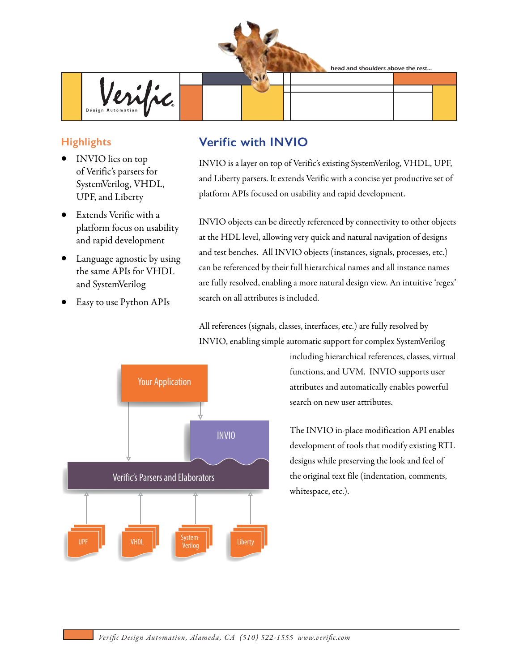head and shoulders above the rest...



## **Highlights**

- INVIO lies on top of Verific's parsers for SystemVerilog, VHDL, UPF, and Liberty
- Extends Verific with a platform focus on usability and rapid development
- Language agnostic by using the same APIs for VHDL and SystemVerilog
- Easy to use Python APIs

## **Verific with INVIO**

INVIO is a layer on top of Verific's existing SystemVerilog, VHDL, UPF, and Liberty parsers. It extends Verific with a concise yet productive set of platform APIs focused on usability and rapid development.

INVIO objects can be directly referenced by connectivity to other objects at the HDL level, allowing very quick and natural navigation of designs and test benches. All INVIO objects (instances, signals, processes, etc.) can be referenced by their full hierarchical names and all instance names are fully resolved, enabling a more natural design view. An intuitive 'regex' search on all attributes is included.

All references (signals, classes, interfaces, etc.) are fully resolved by INVIO, enabling simple automatic support for complex SystemVerilog



including hierarchical references, classes, virtual functions, and UVM. INVIO supports user attributes and automatically enables powerful search on new user attributes.

The INVIO in-place modification API enables development of tools that modify existing RTL designs while preserving the look and feel of the original text file (indentation, comments, whitespace, etc.).